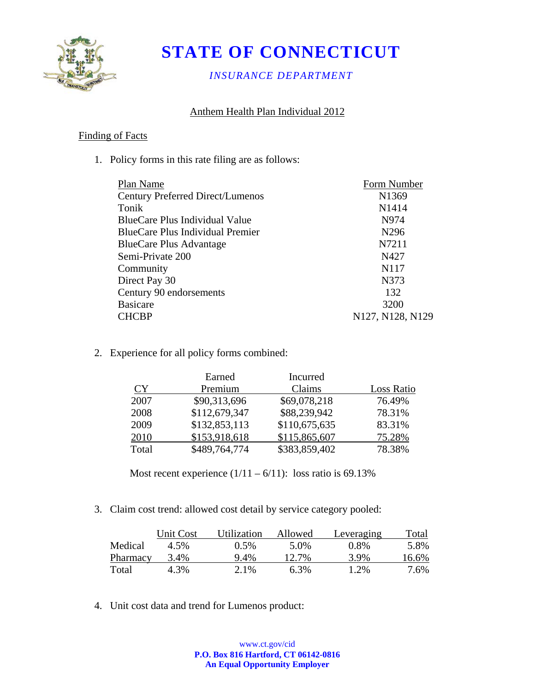

# **STATE OF CONNECTICUT**

*INSURANCE DEPARTMENT* 

## Anthem Health Plan Individual 2012

#### Finding of Facts

1. Policy forms in this rate filing are as follows:

| Plan Name                               | Form Number                                            |
|-----------------------------------------|--------------------------------------------------------|
| <b>Century Preferred Direct/Lumenos</b> | N1369                                                  |
| Tonik                                   | N <sub>14</sub> 14                                     |
| BlueCare Plus Individual Value          | N974                                                   |
| BlueCare Plus Individual Premier        | N <sub>296</sub>                                       |
| <b>BlueCare Plus Advantage</b>          | N7211                                                  |
| Semi-Private 200                        | N427                                                   |
| Community                               | N <sub>1</sub> 17                                      |
| Direct Pay 30                           | N373                                                   |
| Century 90 endorsements                 | 132                                                    |
| <b>Basicare</b>                         | 3200                                                   |
| CHCBP                                   | N <sub>127</sub> , N <sub>128</sub> , N <sub>129</sub> |
|                                         |                                                        |

2. Experience for all policy forms combined:

|       | Earned        | Incurred      |            |
|-------|---------------|---------------|------------|
| CY    | Premium       | Claims        | Loss Ratio |
| 2007  | \$90,313,696  | \$69,078,218  | 76.49%     |
| 2008  | \$112,679,347 | \$88,239,942  | 78.31%     |
| 2009  | \$132,853,113 | \$110,675,635 | 83.31%     |
| 2010  | \$153,918,618 | \$115,865,607 | 75.28%     |
| Total | \$489,764,774 | \$383,859,402 | 78.38%     |

Most recent experience  $(1/11 - 6/11)$ : loss ratio is 69.13%

3. Claim cost trend: allowed cost detail by service category pooled:

|          | Unit Cost | Utilization | Allowed | Leveraging | 'otal   |
|----------|-----------|-------------|---------|------------|---------|
| Medical  | 4.5%      | $0.5\%$     | 5.0%    | 0.8%       | 5.8%    |
| Pharmacy | 3.4%      | $9.4\%$     | 12.7%   | 3.9%       | 16.6%   |
| Total    | 4.3%      | 2.1%        | 6.3%    | 1.2%       | $7.6\%$ |

4. Unit cost data and trend for Lumenos product: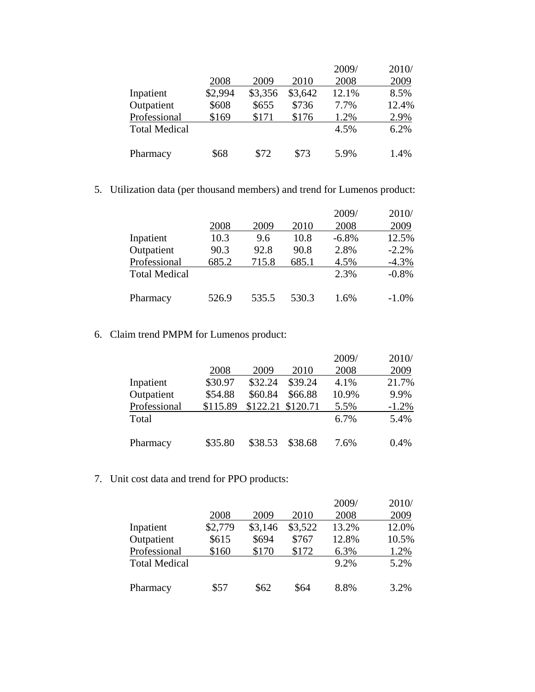|                      |         |         |         | 2009/ | 2010/ |
|----------------------|---------|---------|---------|-------|-------|
|                      | 2008    | 2009    | 2010    | 2008  | 2009  |
| Inpatient            | \$2,994 | \$3,356 | \$3,642 | 12.1% | 8.5%  |
| Outpatient           | \$608   | \$655   | \$736   | 7.7%  | 12.4% |
| Professional         | \$169   | \$171   | \$176   | 1.2%  | 2.9%  |
| <b>Total Medical</b> |         |         |         | 4.5%  | 6.2%  |
| Pharmacy             | \$68    | \$72    | \$73    | 5.9%  | 1.4%  |

5. Utilization data (per thousand members) and trend for Lumenos product:

|                      |       |       |       | 2009/    | 2010/   |
|----------------------|-------|-------|-------|----------|---------|
|                      | 2008  | 2009  | 2010  | 2008     | 2009    |
| Inpatient            | 10.3  | 9.6   | 10.8  | $-6.8\%$ | 12.5%   |
| Outpatient           | 90.3  | 92.8  | 90.8  | 2.8%     | $-2.2%$ |
| Professional         | 685.2 | 715.8 | 685.1 | 4.5%     | $-4.3%$ |
| <b>Total Medical</b> |       |       |       | 2.3%     | $-0.8%$ |
| Pharmacy             | 526.9 | 535.5 | 530.3 | 1.6%     | $-1.0%$ |

6. Claim trend PMPM for Lumenos product:

|              |          |          |          | 2009/ | 2010/   |
|--------------|----------|----------|----------|-------|---------|
|              | 2008     | 2009     | 2010     | 2008  | 2009    |
| Inpatient    | \$30.97  | \$32.24  | \$39.24  | 4.1%  | 21.7%   |
| Outpatient   | \$54.88  | \$60.84  | \$66.88  | 10.9% | 9.9%    |
| Professional | \$115.89 | \$122.21 | \$120.71 | 5.5%  | $-1.2%$ |
| Total        |          |          |          | 6.7%  | 5.4%    |
|              |          |          |          |       |         |
| Pharmacy     | \$35.80  | \$38.53  | \$38.68  | 7.6%  | 0.4%    |

7. Unit cost data and trend for PPO products:

|                      |         |         |         | 2009/ | 2010/ |
|----------------------|---------|---------|---------|-------|-------|
|                      | 2008    | 2009    | 2010    | 2008  | 2009  |
| Inpatient            | \$2,779 | \$3,146 | \$3,522 | 13.2% | 12.0% |
| Outpatient           | \$615   | \$694   | \$767   | 12.8% | 10.5% |
| Professional         | \$160   | \$170   | \$172   | 6.3%  | 1.2%  |
| <b>Total Medical</b> |         |         |         | 9.2%  | 5.2%  |
| Pharmacy             | \$57    | \$62    | \$64    | 8.8%  | 3.2%  |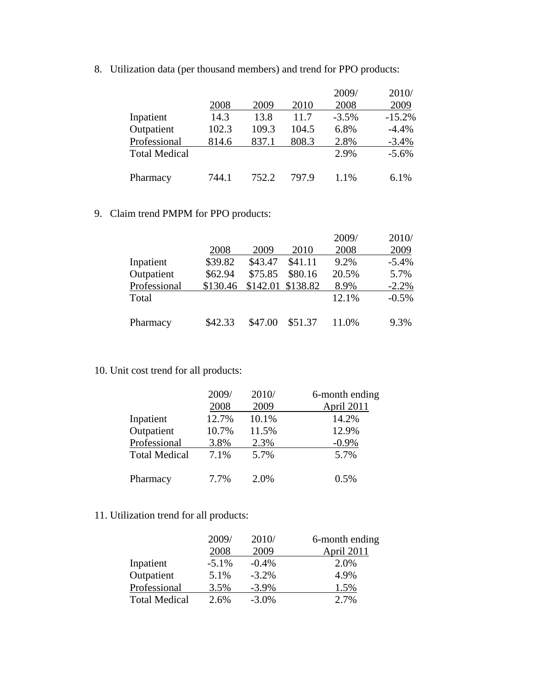8. Utilization data (per thousand members) and trend for PPO products:

|                      |       |       |       | 2009/    | 2010/    |
|----------------------|-------|-------|-------|----------|----------|
|                      | 2008  | 2009  | 2010  | 2008     | 2009     |
| Inpatient            | 14.3  | 13.8  | 11.7  | $-3.5\%$ | $-15.2%$ |
| Outpatient           | 102.3 | 109.3 | 104.5 | 6.8%     | $-4.4%$  |
| Professional         | 814.6 | 837.1 | 808.3 | 2.8%     | $-3.4%$  |
| <b>Total Medical</b> |       |       |       | 2.9%     | $-5.6%$  |
|                      |       |       |       |          |          |
| Pharmacy             | 744.1 | 752.2 | 797.9 | 1.1%     | 6.1%     |

## 9. Claim trend PMPM for PPO products:

|              |          |          |          | 2009/ | 2010/   |
|--------------|----------|----------|----------|-------|---------|
|              | 2008     | 2009     | 2010     | 2008  | 2009    |
| Inpatient    | \$39.82  | \$43.47  | \$41.11  | 9.2%  | $-5.4%$ |
| Outpatient   | \$62.94  | \$75.85  | \$80.16  | 20.5% | 5.7%    |
| Professional | \$130.46 | \$142.01 | \$138.82 | 8.9%  | $-2.2%$ |
| Total        |          |          |          | 12.1% | $-0.5%$ |
| Pharmacy     | \$42.33  | \$47.00  | \$51.37  | 11.0% | 9.3%    |

## 10. Unit cost trend for all products:

|                      | 2009/ | 2010/ | 6-month ending    |
|----------------------|-------|-------|-------------------|
|                      | 2008  | 2009  | <b>April 2011</b> |
| Inpatient            | 12.7% | 10.1% | 14.2%             |
| Outpatient           | 10.7% | 11.5% | 12.9%             |
| Professional         | 3.8%  | 2.3%  | $-0.9\%$          |
| <b>Total Medical</b> | 7.1%  | 5.7%  | 5.7%              |
| Pharmacy             | 7.7%  | 2.0%  | 0.5%              |

## 11. Utilization trend for all products:

|                      | 2009/    | 2010/    | 6-month ending |
|----------------------|----------|----------|----------------|
|                      | 2008     | 2009     | April 2011     |
| Inpatient            | $-5.1\%$ | $-0.4%$  | 2.0%           |
| Outpatient           | 5.1%     | $-3.2\%$ | 4.9%           |
| Professional         | 3.5%     | $-3.9\%$ | 1.5%           |
| <b>Total Medical</b> | 2.6%     | $-3.0\%$ | 2.7%           |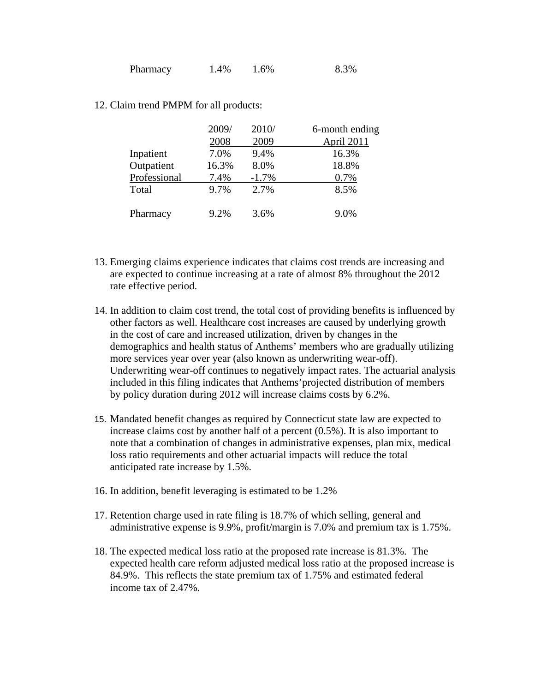| Pharmacy | 1.4% | 1.6% | 8.3% |
|----------|------|------|------|
|----------|------|------|------|

12. Claim trend PMPM for all products:

|              | 2009/ | 2010/   | 6-month ending |  |
|--------------|-------|---------|----------------|--|
|              | 2008  | 2009    | April 2011     |  |
| Inpatient    | 7.0%  | 9.4%    | 16.3%          |  |
| Outpatient   | 16.3% | 8.0%    | 18.8%          |  |
| Professional | 7.4%  | $-1.7%$ | 0.7%           |  |
| Total        | 9.7%  | 2.7%    | 8.5%           |  |
| Pharmacy     | 9.2%  | 3.6%    | 9.0%           |  |

- 13. Emerging claims experience indicates that claims cost trends are increasing and are expected to continue increasing at a rate of almost 8% throughout the 2012 rate effective period.
- 14. In addition to claim cost trend, the total cost of providing benefits is influenced by other factors as well. Healthcare cost increases are caused by underlying growth in the cost of care and increased utilization, driven by changes in the demographics and health status of Anthems' members who are gradually utilizing more services year over year (also known as underwriting wear-off). Underwriting wear-off continues to negatively impact rates. The actuarial analysis included in this filing indicates that Anthems'projected distribution of members by policy duration during 2012 will increase claims costs by 6.2%.
- 15. Mandated benefit changes as required by Connecticut state law are expected to increase claims cost by another half of a percent (0.5%). It is also important to note that a combination of changes in administrative expenses, plan mix, medical loss ratio requirements and other actuarial impacts will reduce the total anticipated rate increase by 1.5%.
- 16. In addition, benefit leveraging is estimated to be 1.2%
- 17. Retention charge used in rate filing is 18.7% of which selling, general and administrative expense is 9.9%, profit/margin is 7.0% and premium tax is 1.75%.
- 18. The expected medical loss ratio at the proposed rate increase is 81.3%. The expected health care reform adjusted medical loss ratio at the proposed increase is 84.9%. This reflects the state premium tax of 1.75% and estimated federal income tax of 2.47%.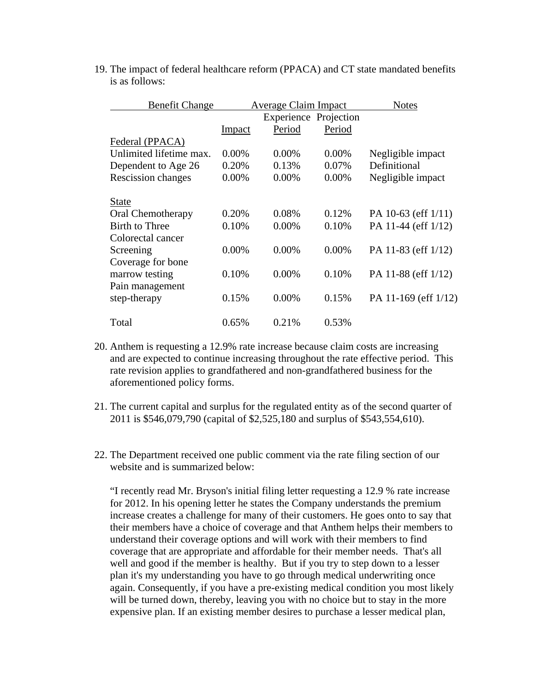| <b>Benefit Change</b>    | <b>Average Claim Impact</b> |                              | <b>Notes</b> |                         |
|--------------------------|-----------------------------|------------------------------|--------------|-------------------------|
|                          |                             | <b>Experience Projection</b> |              |                         |
|                          | Impact                      | Period                       | Period       |                         |
| Federal (PPACA)          |                             |                              |              |                         |
| Unlimited lifetime max.  | $0.00\%$                    | $0.00\%$                     | $0.00\%$     | Negligible impact       |
| Dependent to Age 26      | 0.20%                       | 0.13%                        | 0.07%        | Definitional            |
| Rescission changes       | 0.00%                       | 0.00%                        | 0.00%        | Negligible impact       |
| <b>State</b>             |                             |                              |              |                         |
| <b>Oral Chemotherapy</b> | 0.20%                       | 0.08%                        | 0.12\%       | PA 10-63 (eff $1/11$ )  |
| <b>Birth to Three</b>    | 0.10%                       | 0.00%                        | 0.10%        | PA 11-44 (eff 1/12)     |
| Colorectal cancer        |                             |                              |              |                         |
| Screening                | $0.00\%$                    | $0.00\%$                     | $0.00\%$     | PA 11-83 (eff $1/12$ )  |
| Coverage for bone        |                             |                              |              |                         |
| marrow testing           | 0.10%                       | $0.00\%$                     | 0.10%        | PA 11-88 (eff $1/12$ )  |
| Pain management          |                             |                              |              |                         |
| step-therapy             | 0.15%                       | 0.00%                        | 0.15%        | PA 11-169 (eff $1/12$ ) |
| Total                    | 0.65%                       | 0.21%                        | 0.53%        |                         |

19. The impact of federal healthcare reform (PPACA) and CT state mandated benefits is as follows:

- 20. Anthem is requesting a 12.9% rate increase because claim costs are increasing and are expected to continue increasing throughout the rate effective period. This rate revision applies to grandfathered and non-grandfathered business for the aforementioned policy forms.
- 21. The current capital and surplus for the regulated entity as of the second quarter of 2011 is \$546,079,790 (capital of \$2,525,180 and surplus of \$543,554,610).
- 22. The Department received one public comment via the rate filing section of our website and is summarized below:

"I recently read Mr. Bryson's initial filing letter requesting a 12.9 % rate increase for 2012. In his opening letter he states the Company understands the premium increase creates a challenge for many of their customers. He goes onto to say that their members have a choice of coverage and that Anthem helps their members to understand their coverage options and will work with their members to find coverage that are appropriate and affordable for their member needs. That's all well and good if the member is healthy. But if you try to step down to a lesser plan it's my understanding you have to go through medical underwriting once again. Consequently, if you have a pre-existing medical condition you most likely will be turned down, thereby, leaving you with no choice but to stay in the more expensive plan. If an existing member desires to purchase a lesser medical plan,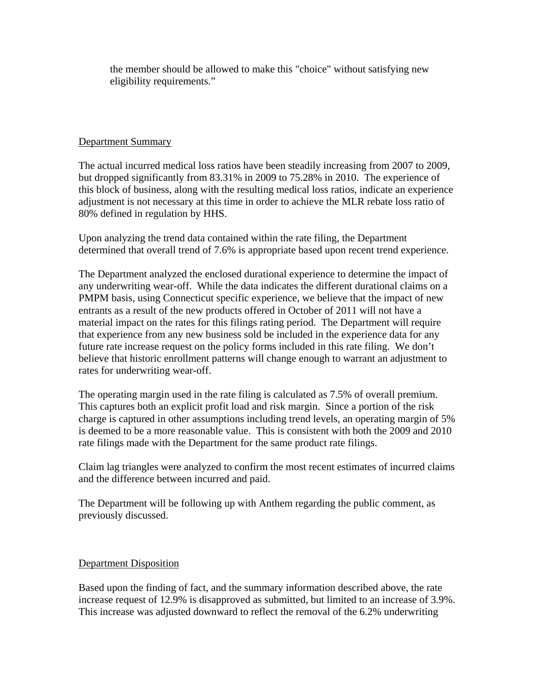the member should be allowed to make this "choice" without satisfying new eligibility requirements."

#### Department Summary

The actual incurred medical loss ratios have been steadily increasing from 2007 to 2009, but dropped significantly from 83.31% in 2009 to 75.28% in 2010. The experience of this block of business, along with the resulting medical loss ratios, indicate an experience adjustment is not necessary at this time in order to achieve the MLR rebate loss ratio of 80% defined in regulation by HHS.

Upon analyzing the trend data contained within the rate filing, the Department determined that overall trend of 7.6% is appropriate based upon recent trend experience.

The Department analyzed the enclosed durational experience to determine the impact of any underwriting wear-off. While the data indicates the different durational claims on a PMPM basis, using Connecticut specific experience, we believe that the impact of new entrants as a result of the new products offered in October of 2011 will not have a material impact on the rates for this filings rating period. The Department will require that experience from any new business sold be included in the experience data for any future rate increase request on the policy forms included in this rate filing. We don't believe that historic enrollment patterns will change enough to warrant an adjustment to rates for underwriting wear-off.

The operating margin used in the rate filing is calculated as 7.5% of overall premium. This captures both an explicit profit load and risk margin. Since a portion of the risk charge is captured in other assumptions including trend levels, an operating margin of 5% is deemed to be a more reasonable value. This is consistent with both the 2009 and 2010 rate filings made with the Department for the same product rate filings.

Claim lag triangles were analyzed to confirm the most recent estimates of incurred claims and the difference between incurred and paid.

The Department will be following up with Anthem regarding the public comment, as previously discussed.

#### Department Disposition

Based upon the finding of fact, and the summary information described above, the rate increase request of 12.9% is disapproved as submitted, but limited to an increase of 3.9%. This increase was adjusted downward to reflect the removal of the 6.2% underwriting